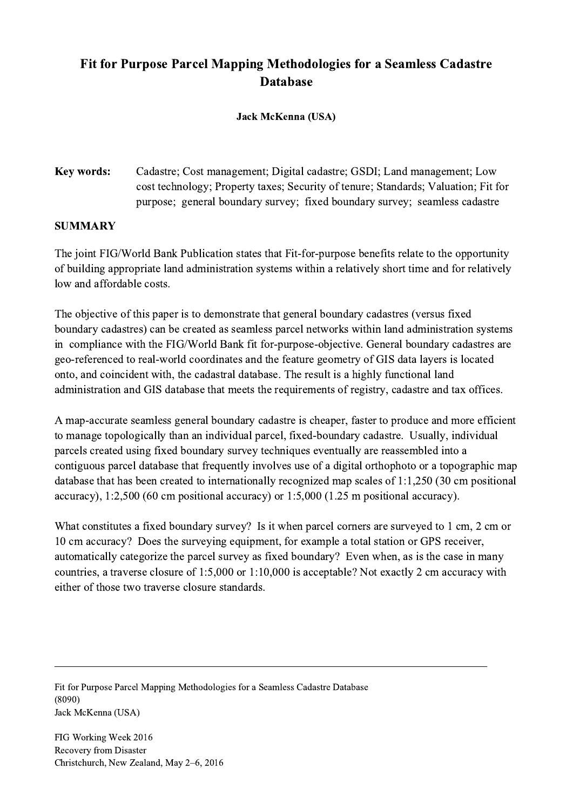## Fit for Purpose Parcel Mapping Methodologies for a Seamless Cadastre **Database**

## Jack McKenna (USA)

Key words: Cadastre; Cost management; Digital cadastre; GSDI; Land management; Low cost technology; Property taxes; Security of tenure; Standards; Valuation; Fit for purpose; general boundary survey; fixed boundary survey; seamless cadastre

## **SUMMARY**

The joint FIG/World Bank Publication states that Fit-for-purpose benefits relate to the opportunity of building appropriate land administration systems within a relatively short time and for relatively low and affordable costs.

The objective of this paper is to demonstrate that general boundary cadastres (versus fixed boundary cadastres) can be created as seamless parcel networks within land administration systems in compliance with the FIG/World Bank fit for-purpose-objective. General boundary cadastres are geo-referenced to real-world coordinates and the feature geometry of GIS data layers is located onto, and coincident with, the cadastral database. The result is a highly functional land administration and GIS database that meets the requirements of registry, cadastre and tax offices.

A map-accurate seamless general boundary cadastre is cheaper, faster to produce and more efficient to manage topologically than an individual parcel, fixed-boundary cadastre. Usually, individual parcels created using fixed boundary survey techniques eventually are reassembled into a contiguous parcel database that frequently involves use of a digital orthophoto or a topographic map database that has been created to internationally recognized map scales of 1:1,250 (30 cm positional accuracy), 1:2,500 (60 cm positional accuracy) or 1:5,000 (1.25 m positional accuracy).

What constitutes a fixed boundary survey? Is it when parcel corners are surveyed to 1 cm, 2 cm or 10 cm accuracy? Does the surveying equipment, for example a total station or GPS receiver, automatically categorize the parcel survey as fixed boundary? Even when, as is the case in many countries, a traverse closure of 1:5,000 or 1:10,000 is acceptable? Not exactly 2 cm accuracy with either of those two traverse closure standards.

 $\mathcal{L}_\mathcal{L} = \{ \mathcal{L}_\mathcal{L} = \{ \mathcal{L}_\mathcal{L} = \{ \mathcal{L}_\mathcal{L} = \{ \mathcal{L}_\mathcal{L} = \{ \mathcal{L}_\mathcal{L} = \{ \mathcal{L}_\mathcal{L} = \{ \mathcal{L}_\mathcal{L} = \{ \mathcal{L}_\mathcal{L} = \{ \mathcal{L}_\mathcal{L} = \{ \mathcal{L}_\mathcal{L} = \{ \mathcal{L}_\mathcal{L} = \{ \mathcal{L}_\mathcal{L} = \{ \mathcal{L}_\mathcal{L} = \{ \mathcal{L}_\mathcal{$ 

Fit for Purpose Parcel Mapping Methodologies for a Seamless Cadastre Database (8090) Jack McKenna (USA)

FIG Working Week 2016 Recovery from Disaster Christchurch, New Zealand, May 2–6, 2016